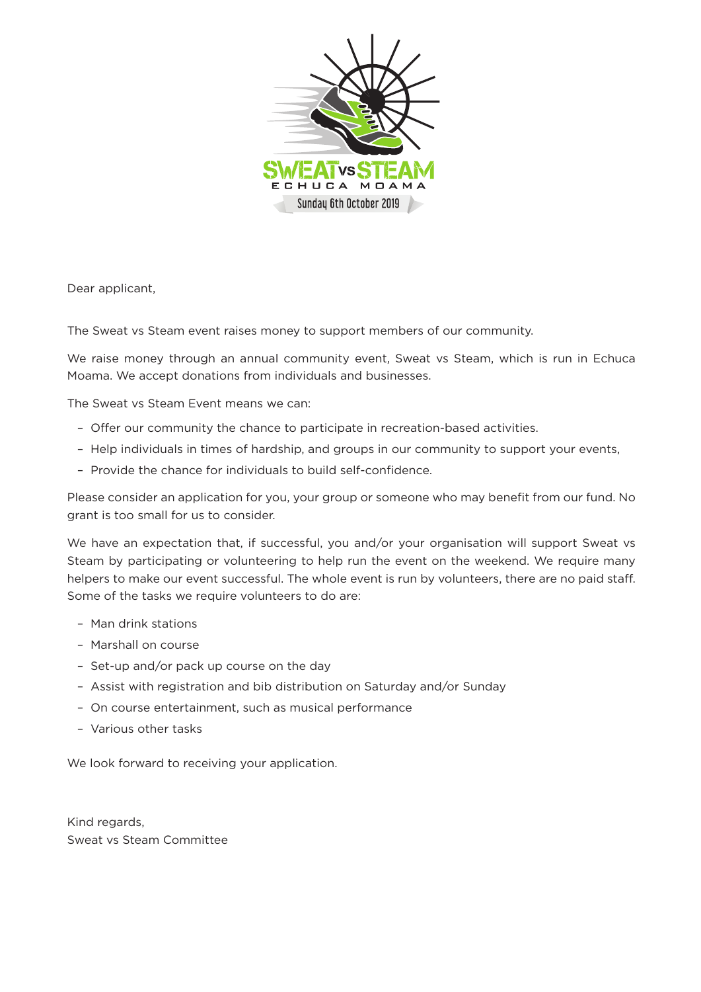

Dear applicant,

The Sweat vs Steam event raises money to support members of our community.

We raise money through an annual community event, Sweat vs Steam, which is run in Echuca Moama. We accept donations from individuals and businesses.

The Sweat vs Steam Event means we can:

- Offer our community the chance to participate in recreation-based activities.
- Help individuals in times of hardship, and groups in our community to support your events,
- Provide the chance for individuals to build self-confidence.

Please consider an application for you, your group or someone who may benefit from our fund. No grant is too small for us to consider.

We have an expectation that, if successful, you and/or your organisation will support Sweat vs Steam by participating or volunteering to help run the event on the weekend. We require many helpers to make our event successful. The whole event is run by volunteers, there are no paid staff. Some of the tasks we require volunteers to do are:

- Man drink stations
- Marshall on course
- Set-up and/or pack up course on the day
- Assist with registration and bib distribution on Saturday and/or Sunday
- On course entertainment, such as musical performance
- Various other tasks

We look forward to receiving your application.

Kind regards, Sweat vs Steam Committee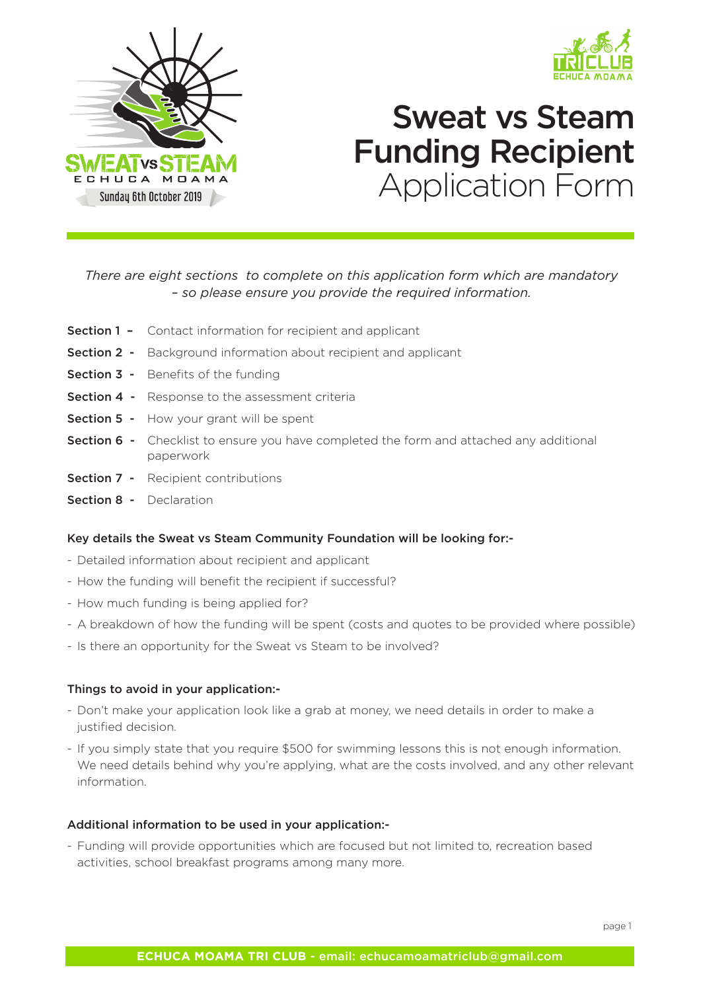



# Sweat vs Steam Funding Recipient Application Form

#### *There are eight sections to complete on this application form which are mandatory – so please ensure you provide the required information.*

- **Section 1 -** Contact information for recipient and applicant
- **Section 2 -** Background information about recipient and applicant
- Section 3 Benefits of the funding
- **Section 4 -** Response to the assessment criteria
- Section 5 How your grant will be spent
- **Section 6 -** Checklist to ensure you have completed the form and attached any additional paperwork
- **Section 7 -** Recipient contributions
- Section 8 Declaration

#### Key details the Sweat vs Steam Community Foundation will be looking for:-

- Detailed information about recipient and applicant
- How the funding will benefit the recipient if successful?
- How much funding is being applied for?
- A breakdown of how the funding will be spent (costs and quotes to be provided where possible)
- Is there an opportunity for the Sweat vs Steam to be involved?

#### Things to avoid in your application:-

- Don't make your application look like a grab at money, we need details in order to make a justified decision.
- If you simply state that you require \$500 for swimming lessons this is not enough information. We need details behind why you're applying, what are the costs involved, and any other relevant information.

#### Additional information to be used in your application:-

- Funding will provide opportunities which are focused but not limited to, recreation based activities, school breakfast programs among many more.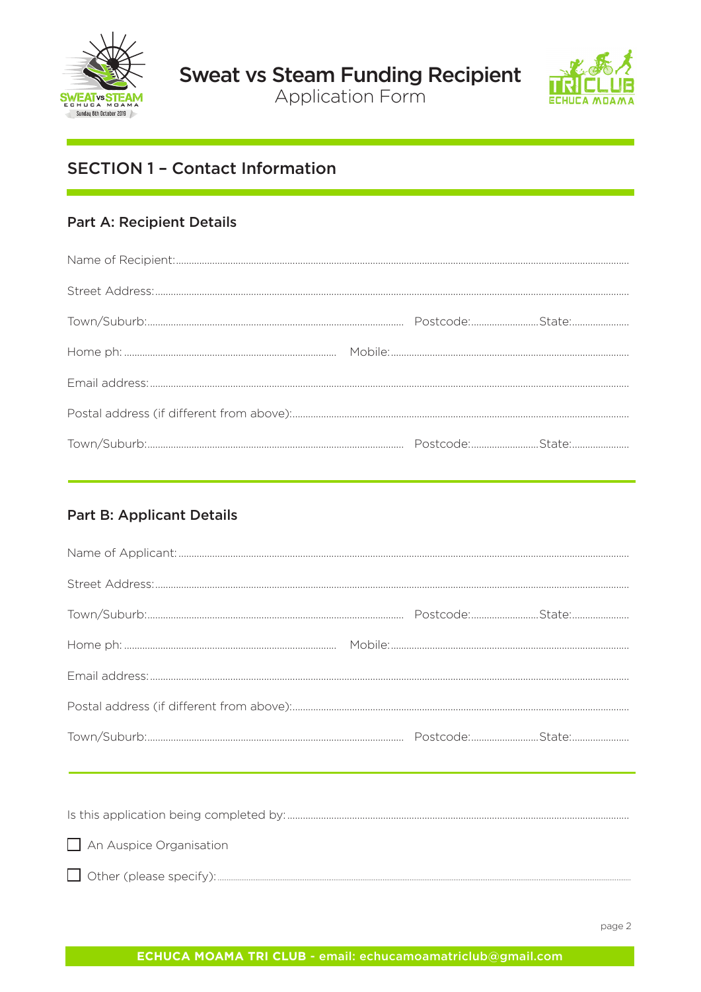



# **SECTION 1 - Contact Information**

#### **Part A: Recipient Details**

#### **Part B: Applicant Details**

| $\Box$ An Auspice Organisation |  |
|--------------------------------|--|

 $\Box$  Other (please specify):.....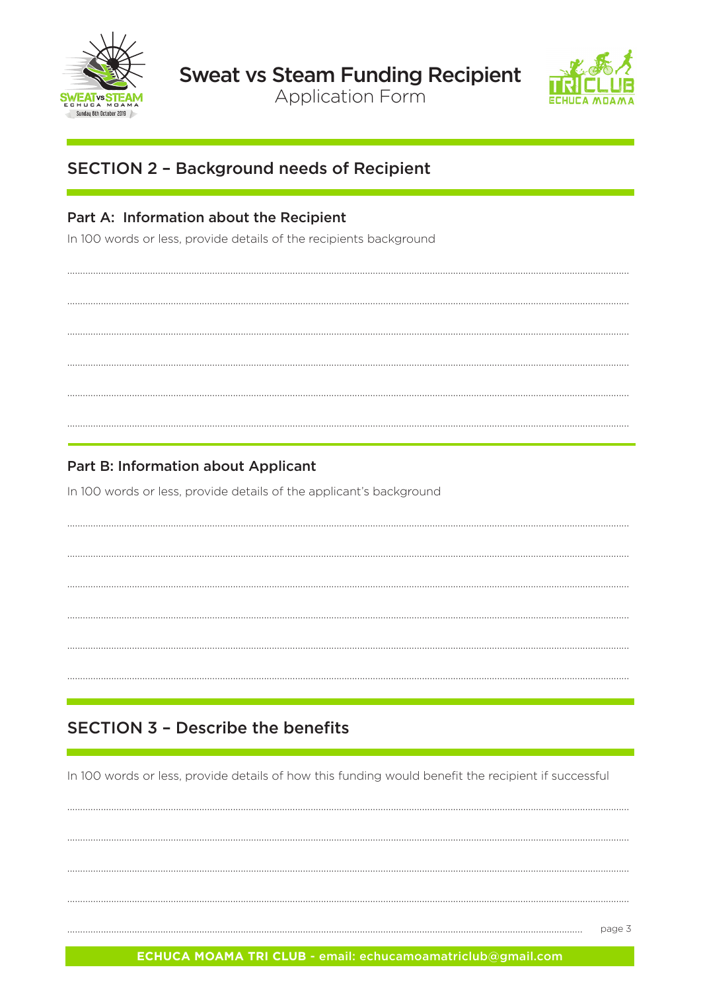



# **SECTION 2 - Background needs of Recipient**

## Part A: Information about the Recipient

In 100 words or less, provide details of the recipients background

## **Part B: Information about Applicant**

In 100 words or less, provide details of the applicant's background

# **SECTION 3 - Describe the benefits**

In 100 words or less, provide details of how this funding would benefit the recipient if successful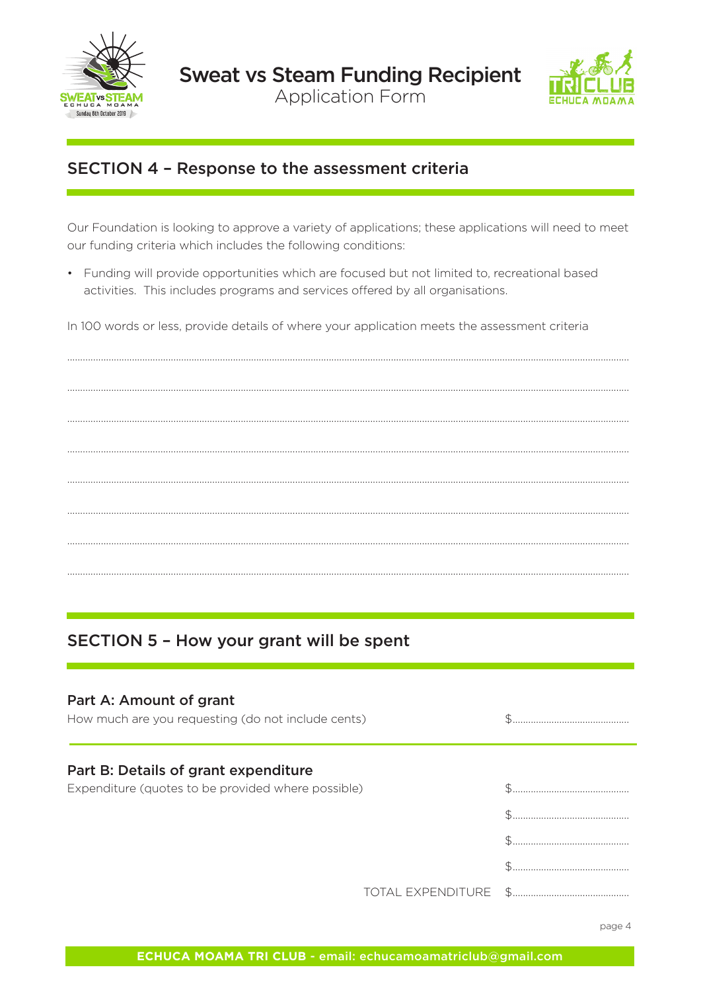



## SECTION 4 - Response to the assessment criteria

Our Foundation is looking to approve a variety of applications; these applications will need to meet our funding criteria which includes the following conditions:

• Funding will provide opportunities which are focused but not limited to, recreational based activities. This includes programs and services offered by all organisations.

In 100 words or less, provide details of where your application meets the assessment criteria

SECTION 5 - How your grant will be spent

| Part A: Amount of grant<br>How much are you requesting (do not include cents)              |  |
|--------------------------------------------------------------------------------------------|--|
| Part B: Details of grant expenditure<br>Expenditure (quotes to be provided where possible) |  |
|                                                                                            |  |
|                                                                                            |  |
|                                                                                            |  |
|                                                                                            |  |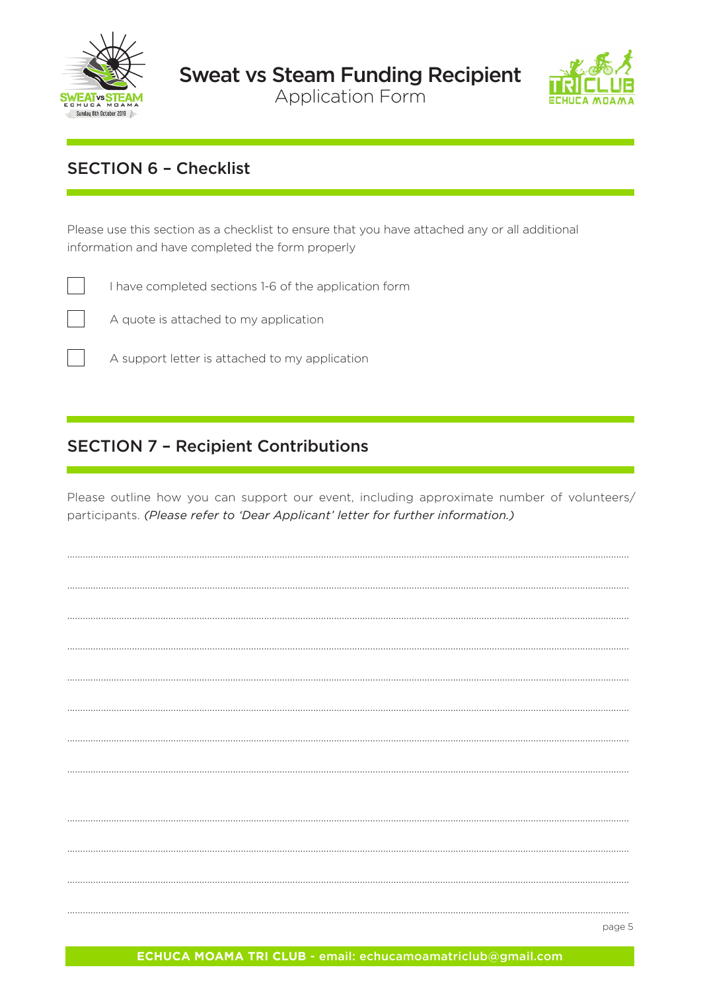



# **SECTION 6 - Checklist**

Please use this section as a checklist to ensure that you have attached any or all additional information and have completed the form properly



I have completed sections 1-6 of the application form



A quote is attached to my application

A support letter is attached to my application

## **SECTION 7 - Recipient Contributions**

Please outline how you can support our event, including approximate number of volunteers/ participants. (Please refer to 'Dear Applicant' letter for further information.)